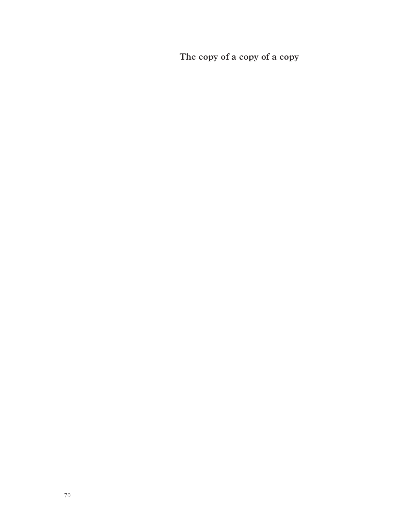**The copy of a copy of a copy**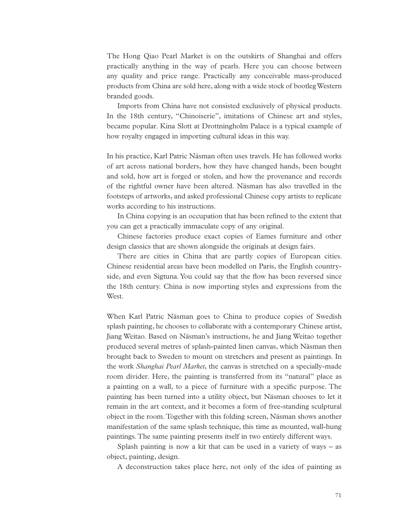The Hong Qiao Pearl Market is on the outskirts of Shanghai and offers practically anything in the way of pearls. Here you can choose between any quality and price range. Practically any conceivable mass-produced products from China are sold here, along with a wide stock of bootleg Western branded goods.

Imports from China have not consisted exclusively of physical products. In the 18th century, "Chinoiserie", imitations of Chinese art and styles, became popular. Kina Slott at Drottningholm Palace is a typical example of how royalty engaged in importing cultural ideas in this way.

In his practice, Karl Patric Näsman often uses travels. He has followed works of art across national borders, how they have changed hands, been bought and sold, how art is forged or stolen, and how the provenance and records of the rightful owner have been altered. Näsman has also travelled in the footsteps of artworks, and asked professional Chinese copy artists to replicate works according to his instructions.

In China copying is an occupation that has been refined to the extent that you can get a practically immaculate copy of any original.

Chinese factories produce exact copies of Eames furniture and other design classics that are shown alongside the originals at design fairs.

There are cities in China that are partly copies of European cities. Chinese residential areas have been modelled on Paris, the English countryside, and even Sigtuna. You could say that the flow has been reversed since the 18th century. China is now importing styles and expressions from the West.

When Karl Patric Näsman goes to China to produce copies of Swedish splash painting, he chooses to collaborate with a contemporary Chinese artist, Jiang Weitao. Based on Näsman's instructions, he and Jiang Weitao together produced several metres of splash-painted linen canvas, which Näsman then brought back to Sweden to mount on stretchers and present as paintings. In the work *Shanghai Pearl Market*, the canvas is stretched on a specially-made room divider. Here, the painting is transferred from its "natural" place as a painting on a wall, to a piece of furniture with a specific purpose. The painting has been turned into a utility object, but Näsman chooses to let it remain in the art context, and it becomes a form of free-standing sculptural object in the room. Together with this folding screen, Näsman shows another manifestation of the same splash technique, this time as mounted, wall-hung paintings. The same painting presents itself in two entirely different ways.

Splash painting is now a kit that can be used in a variety of ways – as object, painting, design.

A deconstruction takes place here, not only of the idea of painting as